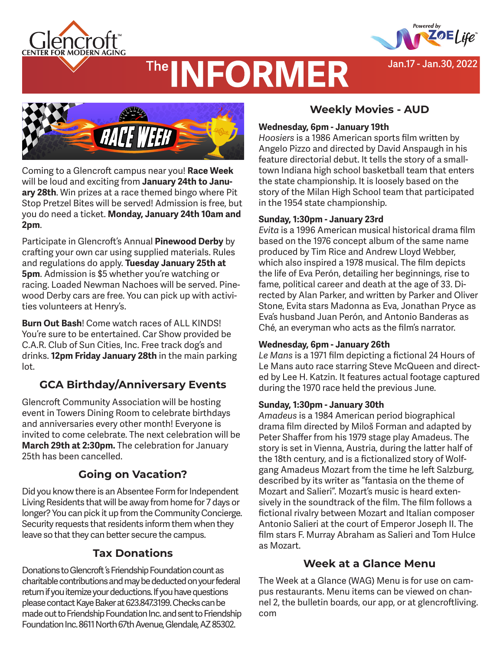



**Jan.17 - Jan.30, 2022**

# **The INFORMER**



Coming to a Glencroft campus near you! **Race Week** will be loud and exciting from **January 24th to January 28th**. Win prizes at a race themed bingo where Pit Stop Pretzel Bites will be served! Admission is free, but you do need a ticket. **Monday, January 24th 10am and 2pm**.

Participate in Glencroft's Annual **Pinewood Derby** by crafting your own car using supplied materials. Rules and regulations do apply. **Tuesday January 25th at 5pm**. Admission is \$5 whether you're watching or racing. Loaded Newman Nachoes will be served. Pinewood Derby cars are free. You can pick up with activities volunteers at Henry's.

**Burn Out Bash**! Come watch races of ALL KINDS! You're sure to be entertained. Car Show provided be C.A.R. Club of Sun Cities, Inc. Free track dog's and drinks. **12pm Friday January 28th** in the main parking lot.

# **GCA Birthday/Anniversary Events**

Glencroft Community Association will be hosting event in Towers Dining Room to celebrate birthdays and anniversaries every other month! Everyone is invited to come celebrate. The next celebration will be **March 29th at 2:30pm.** The celebration for January 25th has been cancelled.

# **Going on Vacation?**

Did you know there is an Absentee Form for Independent Living Residents that will be away from home for 7 days or longer? You can pick it up from the Community Concierge. Security requests that residents inform them when they leave so that they can better secure the campus.

# **Tax Donations**

Donations to Glencroft 's Friendship Foundation count as charitable contributions and may be deducted on your federal return if you itemize your deductions. If you have questions please contact Kaye Baker at 623.847.3199. Checks can be made out to Friendship Foundation Inc. and sent to Friendship Foundation Inc. 8611 North 67th Avenue, Glendale, AZ 85302.

# **Weekly Movies - AUD**

### **Wednesday, 6pm - January 19th**

*Hoosiers* is a 1986 American sports film written by Angelo Pizzo and directed by David Anspaugh in his feature directorial debut. It tells the story of a smalltown Indiana high school basketball team that enters the state championship. It is loosely based on the story of the Milan High School team that participated in the 1954 state championship.

### **Sunday, 1:30pm - January 23rd**

*Evita* is a 1996 American musical historical drama film based on the 1976 concept album of the same name produced by Tim Rice and Andrew Lloyd Webber, which also inspired a 1978 musical. The film depicts the life of Eva Perón, detailing her beginnings, rise to fame, political career and death at the age of 33. Directed by Alan Parker, and written by Parker and Oliver Stone, Evita stars Madonna as Eva, Jonathan Pryce as Eva's husband Juan Perón, and Antonio Banderas as Ché, an everyman who acts as the film's narrator.

### **Wednesday, 6pm - January 26th**

*Le Mans* is a 1971 film depicting a fictional 24 Hours of Le Mans auto race starring Steve McQueen and directed by Lee H. Katzin. It features actual footage captured during the 1970 race held the previous June.

### **Sunday, 1:30pm - January 30th**

*Amadeus* is a 1984 American period biographical drama film directed by Miloš Forman and adapted by Peter Shaffer from his 1979 stage play Amadeus. The story is set in Vienna, Austria, during the latter half of the 18th century, and is a fictionalized story of Wolfgang Amadeus Mozart from the time he left Salzburg, described by its writer as "fantasia on the theme of Mozart and Salieri". Mozart's music is heard extensively in the soundtrack of the film. The film follows a fictional rivalry between Mozart and Italian composer Antonio Salieri at the court of Emperor Joseph II. The film stars F. Murray Abraham as Salieri and Tom Hulce as Mozart.

## **Week at a Glance Menu**

The Week at a Glance (WAG) Menu is for use on campus restaurants. Menu items can be viewed on channel 2, the bulletin boards, our app, or at glencroftliving. com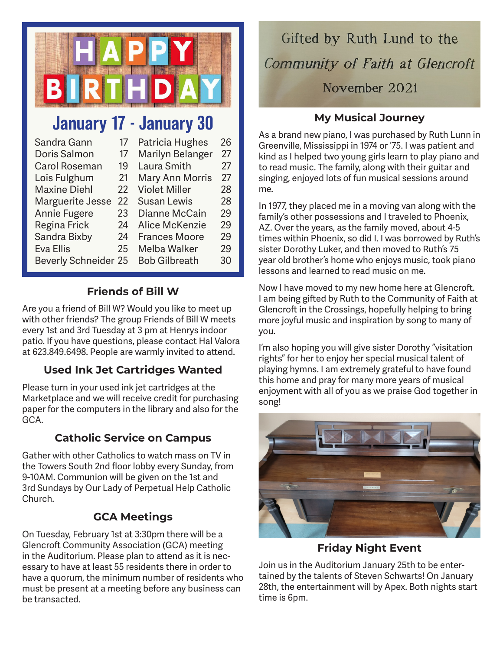

# January 17 - January 30

| Sandra Gann                 | 17 | Patricia Hughes        | 26 |
|-----------------------------|----|------------------------|----|
| Doris Salmon                | 17 | Marilyn Belanger       | 27 |
| <b>Carol Roseman</b>        | 19 | Laura Smith            | 27 |
| Lois Fulghum                | 21 | <b>Mary Ann Morris</b> | 27 |
| <b>Maxine Diehl</b>         | 22 | <b>Violet Miller</b>   | 28 |
| Marguerite Jesse            | 22 | <b>Susan Lewis</b>     | 28 |
| <b>Annie Fugere</b>         | 23 | Dianne McCain          | 29 |
| Regina Frick                | 24 | Alice McKenzie         | 29 |
| Sandra Bixby                | 24 | <b>Frances Moore</b>   | 29 |
| <b>Eva Ellis</b>            | 25 | Melba Walker           | 29 |
| <b>Beverly Schneider 25</b> |    | <b>Bob Gilbreath</b>   | 30 |

# **Friends of Bill W**

Are you a friend of Bill W? Would you like to meet up with other friends? The group Friends of Bill W meets every 1st and 3rd Tuesday at 3 pm at Henrys indoor patio. If you have questions, please contact Hal Valora at 623.849.6498. People are warmly invited to attend.

# **Used Ink Jet Cartridges Wanted**

Please turn in your used ink jet cartridges at the Marketplace and we will receive credit for purchasing paper for the computers in the library and also for the GCA.

# **Catholic Service on Campus**

Gather with other Catholics to watch mass on TV in the Towers South 2nd floor lobby every Sunday, from 9-10AM. Communion will be given on the 1st and 3rd Sundays by Our Lady of Perpetual Help Catholic Church.

# **GCA Meetings**

On Tuesday, February 1st at 3:30pm there will be a Glencroft Community Association (GCA) meeting in the Auditorium. Please plan to attend as it is necessary to have at least 55 residents there in order to have a quorum, the minimum number of residents who must be present at a meeting before any business can be transacted.

# Gifted by Ruth Lund to the Community of Faith at Glencroft November 2021

# **My Musical Journey**

As a brand new piano, I was purchased by Ruth Lunn in Greenville, Mississippi in 1974 or '75. I was patient and kind as I helped two young girls learn to play piano and to read music. The family, along with their guitar and singing, enjoyed lots of fun musical sessions around me.

In 1977, they placed me in a moving van along with the family's other possessions and I traveled to Phoenix, AZ. Over the years, as the family moved, about 4-5 times within Phoenix, so did I. I was borrowed by Ruth's sister Dorothy Luker, and then moved to Ruth's 75 year old brother's home who enjoys music, took piano lessons and learned to read music on me.

Now I have moved to my new home here at Glencroft. I am being gifted by Ruth to the Community of Faith at Glencroft in the Crossings, hopefully helping to bring more joyful music and inspiration by song to many of you.

I'm also hoping you will give sister Dorothy "visitation rights" for her to enjoy her special musical talent of playing hymns. I am extremely grateful to have found this home and pray for many more years of musical enjoyment with all of you as we praise God together in song!



**Friday Night Event**

Join us in the Auditorium January 25th to be entertained by the talents of Steven Schwarts! On January 28th, the entertainment will by Apex. Both nights start time is 6pm.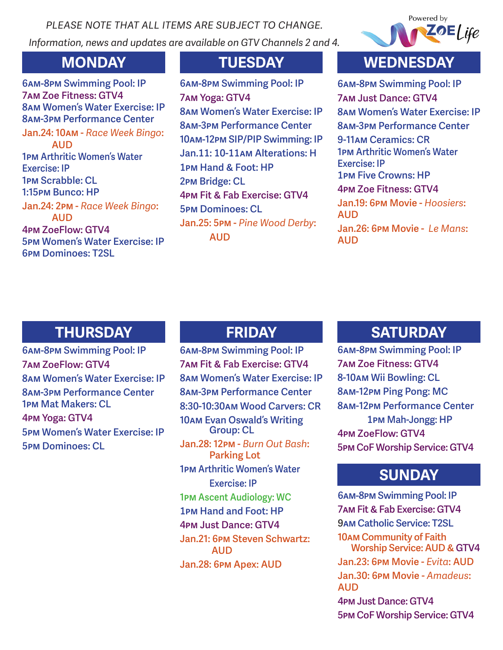*PLEASE NOTE THAT ALL ITEMS ARE SUBJECT TO CHANGE. Information, news and updates are available on GTV Channels 2 and 4.*



**6am-8pm Swimming Pool: IP 7am Zoe Fitness: GTV4 8am Women's Water Exercise: IP 8am-3pm Performance Center**

**Jan.24: 10am -** *Race Week Bingo***: AUD 1pm Arthritic Women's Water Exercise: IP 1pm Scrabble: CL 1:15pm Bunco: HP Jan.24: 2pm -** *Race Week Bingo***: AUD 4pm ZoeFlow: GTV4 5pm Women's Water Exercise: IP 6pm Dominoes: T2SL**

**6am-8pm Swimming Pool: IP 7am Yoga: GTV4 8am Women's Water Exercise: IP 8am-3pm Performance Center 10am-12pm SIP/PIP Swimming: IP Jan.11: 10-11am Alterations: H 1pm Hand & Foot: HP 2pm Bridge: CL 4pm Fit & Fab Exercise: GTV4 5pm Dominoes: CL Jan.25: 5pm -** *Pine Wood Derby***: AUD**

# **MONDAY TUESDAY WEDNESDAY**

**6am-8pm Swimming Pool: IP 7am Just Dance: GTV4 8am Women's Water Exercise: IP 8am-3pm Performance Center 9-11am Ceramics: CR 1pm Arthritic Women's Water Exercise: IP 1pm Five Crowns: HP 4pm Zoe Fitness: GTV4 Jan.19: 6pm Movie -** *Hoosiers***: AUD Jan.26: 6pm Movie -** *Le Mans***: AUD**

# **THURSDAY FRIDAY**

**6am-8pm Swimming Pool: IP 7am ZoeFlow: GTV4 8am Women's Water Exercise: IP 8am-3pm Performance Center 1pm Mat Makers: CL 4pm Yoga: GTV4 5pm Women's Water Exercise: IP 5pm Dominoes: CL**

**6am-8pm Swimming Pool: IP 7am Fit & Fab Exercise: GTV4 8am Women's Water Exercise: IP 8am-3pm Performance Center 8:30-10:30am Wood Carvers: CR 10am Evan Oswald's Writing Group: CL Jan.28: 12pm -** *Burn Out Bash***: Parking Lot 1pm Arthritic Women's Water Exercise: IP 1pm Ascent Audiology: WC 1pm Hand and Foot: HP 4pm Just Dance: GTV4 Jan.21: 6pm Steven Schwartz: AUD Jan.28: 6pm Apex: AUD**

# **SATURDAY**

**6am-8pm Swimming Pool: IP 7am Zoe Fitness: GTV4 8-10am Wii Bowling: CL 8am-12pm Ping Pong: MC 8am-12pm Performance Center 1pm Mah-Jongg: HP 4pm ZoeFlow: GTV4 5pm CoF Worship Service: GTV4**

# **SUNDAY**

**6am-8pm Swimming Pool: IP 7am Fit & Fab Exercise: GTV4 9am Catholic Service: T2SL 10am Community of Faith Worship Service: AUD & GTV4 Jan.23: 6pm Movie -** *Evita***: AUD Jan.30: 6pm Movie -** *Amadeus***: AUD 4pm Just Dance: GTV4**

**5pm CoF Worship Service: GTV4**